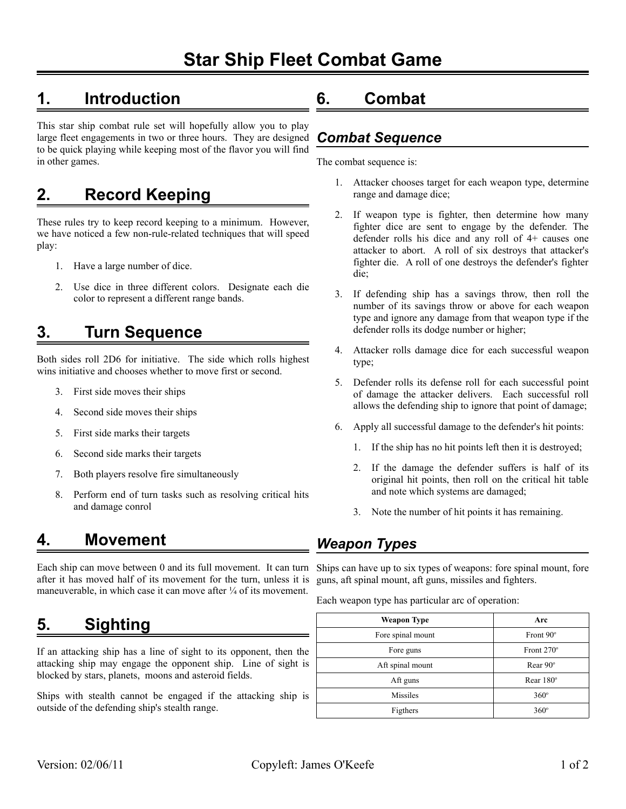# **Star Ship Fleet Combat Game**

## **1. Introduction**

This star ship combat rule set will hopefully allow you to play large fleet engagements in two or three hours. They are designed to be quick playing while keeping most of the flavor you will find in other games.

### **2. Record Keeping**

These rules try to keep record keeping to a minimum. However, we have noticed a few non-rule-related techniques that will speed play:

- 1. Have a large number of dice.
- 2. Use dice in three different colors. Designate each die color to represent a different range bands.

### **3. Turn Sequence**

Both sides roll 2D6 for initiative. The side which rolls highest wins initiative and chooses whether to move first or second.

- 3. First side moves their ships
- 4. Second side moves their ships
- 5. First side marks their targets
- 6. Second side marks their targets
- 7. Both players resolve fire simultaneously
- 8. Perform end of turn tasks such as resolving critical hits and damage conrol

### **4. Movement**

Each ship can move between 0 and its full movement. It can turn after it has moved half of its movement for the turn, unless it is maneuverable, in which case it can move after  $\frac{1}{4}$  of its movement.

## **5. Sighting**

If an attacking ship has a line of sight to its opponent, then the attacking ship may engage the opponent ship. Line of sight is blocked by stars, planets, moons and asteroid fields.

Ships with stealth cannot be engaged if the attacking ship is outside of the defending ship's stealth range.

### **6. Combat**

#### *Combat Sequence*

The combat sequence is:

- 1. Attacker chooses target for each weapon type, determine range and damage dice;
- 2. If weapon type is fighter, then determine how many fighter dice are sent to engage by the defender. The defender rolls his dice and any roll of 4+ causes one attacker to abort. A roll of six destroys that attacker's fighter die. A roll of one destroys the defender's fighter die;
- 3. If defending ship has a savings throw, then roll the number of its savings throw or above for each weapon type and ignore any damage from that weapon type if the defender rolls its dodge number or higher;
- 4. Attacker rolls damage dice for each successful weapon type;
- 5. Defender rolls its defense roll for each successful point of damage the attacker delivers. Each successful roll allows the defending ship to ignore that point of damage;
- 6. Apply all successful damage to the defender's hit points:
	- 1. If the ship has no hit points left then it is destroyed;
	- 2. If the damage the defender suffers is half of its original hit points, then roll on the critical hit table and note which systems are damaged;
	- 3. Note the number of hit points it has remaining.

#### *Weapon Types*

Ships can have up to six types of weapons: fore spinal mount, fore guns, aft spinal mount, aft guns, missiles and fighters.

Each weapon type has particular arc of operation:

| <b>Weapon Type</b> | Arc               |
|--------------------|-------------------|
| Fore spinal mount  | Front 90°         |
| Fore guns          | Front $270^\circ$ |
| Aft spinal mount   | Rear $90^\circ$   |
| Aft guns           | Rear $180^\circ$  |
| Missiles           | $360^\circ$       |
| Figthers           | $360^\circ$       |